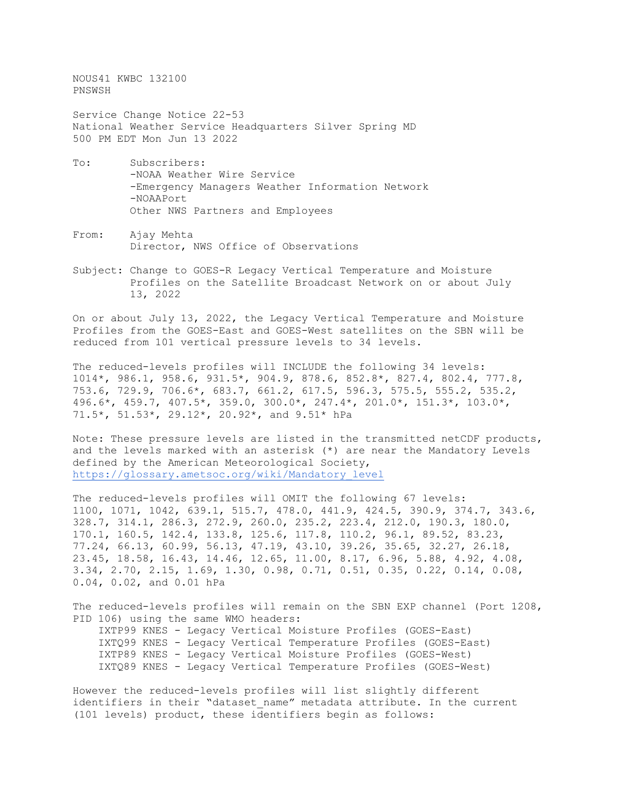NOUS41 KWBC 132100 PNSWSH

Service Change Notice 22-53 National Weather Service Headquarters Silver Spring MD 500 PM EDT Mon Jun 13 2022

- To: Subscribers: -NOAA Weather Wire Service -Emergency Managers Weather Information Network -NOAAPort Other NWS Partners and Employees
- From: Ajay Mehta Director, NWS Office of Observations
- Subject: Change to GOES-R Legacy Vertical Temperature and Moisture Profiles on the Satellite Broadcast Network on or about July 13, 2022

On or about July 13, 2022, the Legacy Vertical Temperature and Moisture Profiles from the GOES-East and GOES-West satellites on the SBN will be reduced from 101 vertical pressure levels to 34 levels.

The reduced-levels profiles will INCLUDE the following 34 levels: 1014\*, 986.1, 958.6, 931.5\*, 904.9, 878.6, 852.8\*, 827.4, 802.4, 777.8, 753.6, 729.9, 706.6\*, 683.7, 661.2, 617.5, 596.3, 575.5, 555.2, 535.2, 496.6\*, 459.7, 407.5\*, 359.0, 300.0\*, 247.4\*, 201.0\*, 151.3\*, 103.0\*, 71.5\*, 51.53\*, 29.12\*, 20.92\*, and 9.51\* hPa

Note: These pressure levels are listed in the transmitted netCDF products, and the levels marked with an asterisk (\*) are near the Mandatory Levels defined by the American Meteorological Society, [https://glossary.ametsoc.org/wiki/Mandatory\\_level](https://glossary.ametsoc.org/wiki/Mandatory_level)

The reduced-levels profiles will OMIT the following 67 levels: 1100, 1071, 1042, 639.1, 515.7, 478.0, 441.9, 424.5, 390.9, 374.7, 343.6, 328.7, 314.1, 286.3, 272.9, 260.0, 235.2, 223.4, 212.0, 190.3, 180.0, 170.1, 160.5, 142.4, 133.8, 125.6, 117.8, 110.2, 96.1, 89.52, 83.23, 77.24, 66.13, 60.99, 56.13, 47.19, 43.10, 39.26, 35.65, 32.27, 26.18, 23.45, 18.58, 16.43, 14.46, 12.65, 11.00, 8.17, 6.96, 5.88, 4.92, 4.08, 3.34, 2.70, 2.15, 1.69, 1.30, 0.98, 0.71, 0.51, 0.35, 0.22, 0.14, 0.08, 0.04, 0.02, and 0.01 hPa

The reduced-levels profiles will remain on the SBN EXP channel (Port 1208, PID 106) using the same WMO headers: IXTP99 KNES - Legacy Vertical Moisture Profiles (GOES-East) IXTQ99 KNES - Legacy Vertical Temperature Profiles (GOES-East) IXTP89 KNES - Legacy Vertical Moisture Profiles (GOES-West) IXTQ89 KNES - Legacy Vertical Temperature Profiles (GOES-West)

However the reduced-levels profiles will list slightly different identifiers in their "dataset\_name" metadata attribute. In the current (101 levels) product, these identifiers begin as follows: